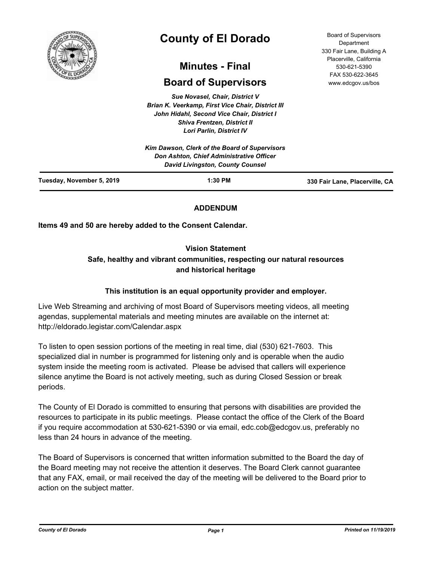

# **County of El Dorado**

## **Minutes - Final**

## **Board of Supervisors**

*Sue Novasel, Chair, District V Brian K. Veerkamp, First Vice Chair, District III John Hidahl, Second Vice Chair, District I Shiva Frentzen, District II Lori Parlin, District IV*

Board of Supervisors Department 330 Fair Lane, Building A Placerville, California 530-621-5390 FAX 530-622-3645 www.edcgov.us/bos

|                           | Kim Dawson, Clerk of the Board of Supervisors<br>Don Ashton, Chief Administrative Officer<br><b>David Livingston, County Counsel</b> |                                |
|---------------------------|--------------------------------------------------------------------------------------------------------------------------------------|--------------------------------|
| Tuesday, November 5, 2019 | $1:30$ PM                                                                                                                            | 330 Fair Lane, Placerville, CA |

## **ADDENDUM**

**Items 49 and 50 are hereby added to the Consent Calendar.**

## **Vision Statement**

## **Safe, healthy and vibrant communities, respecting our natural resources and historical heritage**

## **This institution is an equal opportunity provider and employer.**

Live Web Streaming and archiving of most Board of Supervisors meeting videos, all meeting agendas, supplemental materials and meeting minutes are available on the internet at: http://eldorado.legistar.com/Calendar.aspx

To listen to open session portions of the meeting in real time, dial (530) 621-7603. This specialized dial in number is programmed for listening only and is operable when the audio system inside the meeting room is activated. Please be advised that callers will experience silence anytime the Board is not actively meeting, such as during Closed Session or break periods.

The County of El Dorado is committed to ensuring that persons with disabilities are provided the resources to participate in its public meetings. Please contact the office of the Clerk of the Board if you require accommodation at 530-621-5390 or via email, edc.cob@edcgov.us, preferably no less than 24 hours in advance of the meeting.

The Board of Supervisors is concerned that written information submitted to the Board the day of the Board meeting may not receive the attention it deserves. The Board Clerk cannot guarantee that any FAX, email, or mail received the day of the meeting will be delivered to the Board prior to action on the subject matter.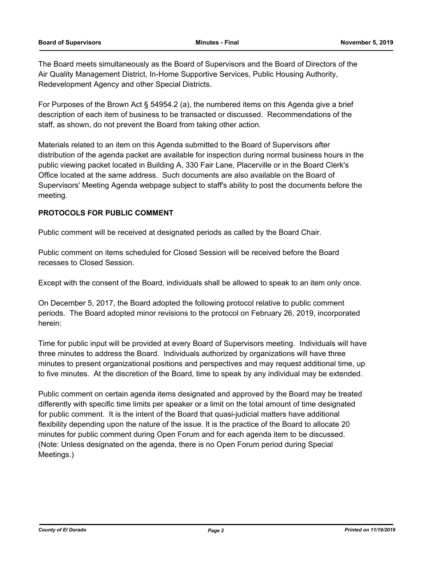The Board meets simultaneously as the Board of Supervisors and the Board of Directors of the Air Quality Management District, In-Home Supportive Services, Public Housing Authority, Redevelopment Agency and other Special Districts.

For Purposes of the Brown Act § 54954.2 (a), the numbered items on this Agenda give a brief description of each item of business to be transacted or discussed. Recommendations of the staff, as shown, do not prevent the Board from taking other action.

Materials related to an item on this Agenda submitted to the Board of Supervisors after distribution of the agenda packet are available for inspection during normal business hours in the public viewing packet located in Building A, 330 Fair Lane, Placerville or in the Board Clerk's Office located at the same address. Such documents are also available on the Board of Supervisors' Meeting Agenda webpage subject to staff's ability to post the documents before the meeting.

## **PROTOCOLS FOR PUBLIC COMMENT**

Public comment will be received at designated periods as called by the Board Chair.

Public comment on items scheduled for Closed Session will be received before the Board recesses to Closed Session.

Except with the consent of the Board, individuals shall be allowed to speak to an item only once.

On December 5, 2017, the Board adopted the following protocol relative to public comment periods. The Board adopted minor revisions to the protocol on February 26, 2019, incorporated herein:

Time for public input will be provided at every Board of Supervisors meeting. Individuals will have three minutes to address the Board. Individuals authorized by organizations will have three minutes to present organizational positions and perspectives and may request additional time, up to five minutes. At the discretion of the Board, time to speak by any individual may be extended.

Public comment on certain agenda items designated and approved by the Board may be treated differently with specific time limits per speaker or a limit on the total amount of time designated for public comment. It is the intent of the Board that quasi-judicial matters have additional flexibility depending upon the nature of the issue. It is the practice of the Board to allocate 20 minutes for public comment during Open Forum and for each agenda item to be discussed. (Note: Unless designated on the agenda, there is no Open Forum period during Special Meetings.)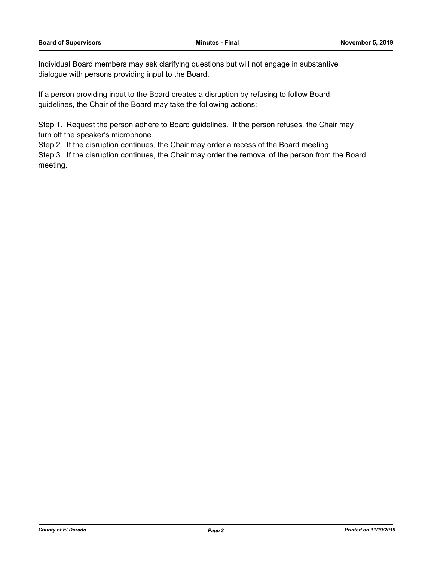Individual Board members may ask clarifying questions but will not engage in substantive dialogue with persons providing input to the Board.

If a person providing input to the Board creates a disruption by refusing to follow Board guidelines, the Chair of the Board may take the following actions:

Step 1. Request the person adhere to Board guidelines. If the person refuses, the Chair may turn off the speaker's microphone.

Step 2. If the disruption continues, the Chair may order a recess of the Board meeting.

Step 3. If the disruption continues, the Chair may order the removal of the person from the Board meeting.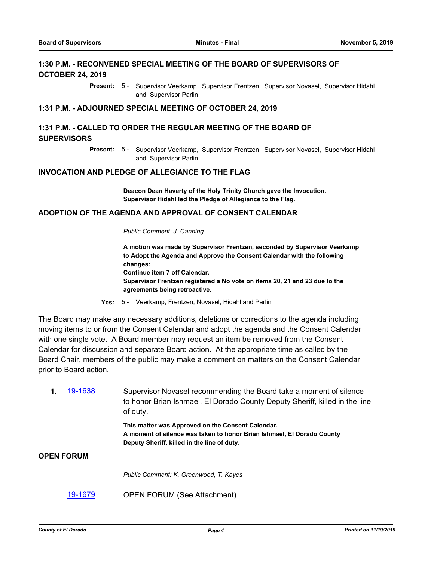## **1:30 P.M. - RECONVENED SPECIAL MEETING OF THE BOARD OF SUPERVISORS OF OCTOBER 24, 2019**

Present: 5 - Supervisor Veerkamp, Supervisor Frentzen, Supervisor Novasel, Supervisor Hidahl and Supervisor Parlin

#### **1:31 P.M. - ADJOURNED SPECIAL MEETING OF OCTOBER 24, 2019**

## **1:31 P.M. - CALLED TO ORDER THE REGULAR MEETING OF THE BOARD OF SUPERVISORS**

Supervisor Veerkamp, Supervisor Frentzen, Supervisor Novasel, Supervisor Hidahl and Supervisor Parlin **Present:** 5 -

#### **INVOCATION AND PLEDGE OF ALLEGIANCE TO THE FLAG**

**Deacon Dean Haverty of the Holy Trinity Church gave the Invocation. Supervisor Hidahl led the Pledge of Allegiance to the Flag.**

#### **ADOPTION OF THE AGENDA AND APPROVAL OF CONSENT CALENDAR**

*Public Comment: J. Canning*

**A motion was made by Supervisor Frentzen, seconded by Supervisor Veerkamp to Adopt the Agenda and Approve the Consent Calendar with the following changes: Continue item 7 off Calendar. Supervisor Frentzen registered a No vote on items 20, 21 and 23 due to the agreements being retroactive.**

**Yes:** 5 - Veerkamp, Frentzen, Novasel, Hidahl and Parlin

The Board may make any necessary additions, deletions or corrections to the agenda including moving items to or from the Consent Calendar and adopt the agenda and the Consent Calendar with one single vote. A Board member may request an item be removed from the Consent Calendar for discussion and separate Board action. At the appropriate time as called by the Board Chair, members of the public may make a comment on matters on the Consent Calendar prior to Board action.

**1.** [19-1638](http://eldorado.legistar.com/gateway.aspx?m=l&id=/matter.aspx?key=26962) Supervisor Novasel recommending the Board take a moment of silence to honor Brian Ishmael, El Dorado County Deputy Sheriff, killed in the line of duty. **This matter was Approved on the Consent Calendar. A moment of silence was taken to honor Brian Ishmael, El Dorado County Deputy Sheriff, killed in the line of duty. OPEN FORUM** *Public Comment: K. Greenwood, T. Kayes*

[19-1679](http://eldorado.legistar.com/gateway.aspx?m=l&id=/matter.aspx?key=27003) OPEN FORUM (See Attachment)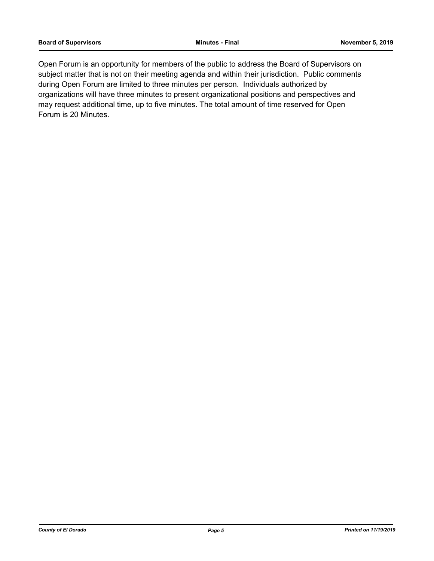Open Forum is an opportunity for members of the public to address the Board of Supervisors on subject matter that is not on their meeting agenda and within their jurisdiction. Public comments during Open Forum are limited to three minutes per person. Individuals authorized by organizations will have three minutes to present organizational positions and perspectives and may request additional time, up to five minutes. The total amount of time reserved for Open Forum is 20 Minutes.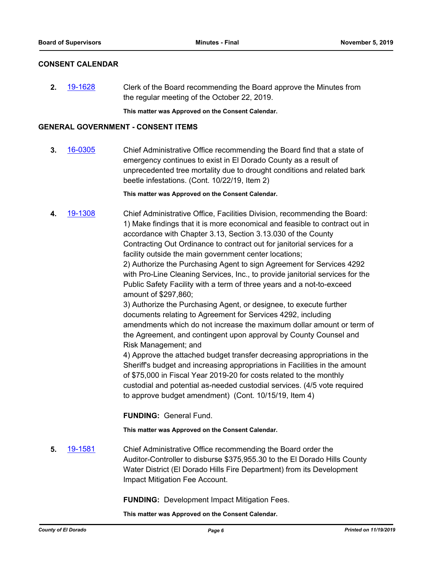#### **CONSENT CALENDAR**

**2.** [19-1628](http://eldorado.legistar.com/gateway.aspx?m=l&id=/matter.aspx?key=26952) Clerk of the Board recommending the Board approve the Minutes from the regular meeting of the October 22, 2019.

**This matter was Approved on the Consent Calendar.**

#### **GENERAL GOVERNMENT - CONSENT ITEMS**

**3.** [16-0305](http://eldorado.legistar.com/gateway.aspx?m=l&id=/matter.aspx?key=20961) Chief Administrative Office recommending the Board find that a state of emergency continues to exist in El Dorado County as a result of unprecedented tree mortality due to drought conditions and related bark beetle infestations. (Cont. 10/22/19, Item 2)

**This matter was Approved on the Consent Calendar.**

**4.** [19-1308](http://eldorado.legistar.com/gateway.aspx?m=l&id=/matter.aspx?key=26630) Chief Administrative Office, Facilities Division, recommending the Board: 1) Make findings that it is more economical and feasible to contract out in accordance with Chapter 3.13, Section 3.13.030 of the County Contracting Out Ordinance to contract out for janitorial services for a facility outside the main government center locations;

2) Authorize the Purchasing Agent to sign Agreement for Services 4292 with Pro-Line Cleaning Services, Inc., to provide janitorial services for the Public Safety Facility with a term of three years and a not-to-exceed amount of \$297,860;

3) Authorize the Purchasing Agent, or designee, to execute further documents relating to Agreement for Services 4292, including amendments which do not increase the maximum dollar amount or term of the Agreement, and contingent upon approval by County Counsel and Risk Management; and

4) Approve the attached budget transfer decreasing appropriations in the Sheriff's budget and increasing appropriations in Facilities in the amount of \$75,000 in Fiscal Year 2019-20 for costs related to the monthly custodial and potential as-needed custodial services. (4/5 vote required to approve budget amendment) (Cont. 10/15/19, Item 4)

**FUNDING:** General Fund.

**This matter was Approved on the Consent Calendar.**

**5.** [19-1581](http://eldorado.legistar.com/gateway.aspx?m=l&id=/matter.aspx?key=26905) Chief Administrative Office recommending the Board order the Auditor-Controller to disburse \$375,955.30 to the El Dorado Hills County Water District (El Dorado Hills Fire Department) from its Development Impact Mitigation Fee Account.

**FUNDING:** Development Impact Mitigation Fees.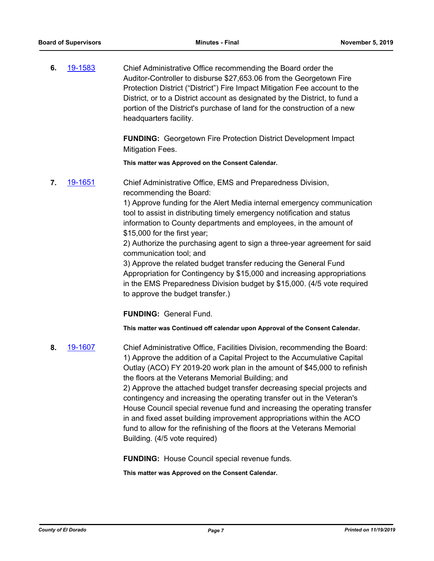**6.** [19-1583](http://eldorado.legistar.com/gateway.aspx?m=l&id=/matter.aspx?key=26907) Chief Administrative Office recommending the Board order the Auditor-Controller to disburse \$27,653.06 from the Georgetown Fire Protection District ("District") Fire Impact Mitigation Fee account to the District, or to a District account as designated by the District, to fund a portion of the District's purchase of land for the construction of a new headquarters facility.

> **FUNDING:** Georgetown Fire Protection District Development Impact Mitigation Fees.

**This matter was Approved on the Consent Calendar.**

**7.** [19-1651](http://eldorado.legistar.com/gateway.aspx?m=l&id=/matter.aspx?key=26975) Chief Administrative Office, EMS and Preparedness Division, recommending the Board:

> 1) Approve funding for the Alert Media internal emergency communication tool to assist in distributing timely emergency notification and status information to County departments and employees, in the amount of \$15,000 for the first year;

> 2) Authorize the purchasing agent to sign a three-year agreement for said communication tool; and

3) Approve the related budget transfer reducing the General Fund Appropriation for Contingency by \$15,000 and increasing appropriations in the EMS Preparedness Division budget by \$15,000. (4/5 vote required to approve the budget transfer.)

**FUNDING:** General Fund.

**This matter was Continued off calendar upon Approval of the Consent Calendar.**

**8.** [19-1607](http://eldorado.legistar.com/gateway.aspx?m=l&id=/matter.aspx?key=26931) Chief Administrative Office, Facilities Division, recommending the Board: 1) Approve the addition of a Capital Project to the Accumulative Capital Outlay (ACO) FY 2019-20 work plan in the amount of \$45,000 to refinish the floors at the Veterans Memorial Building; and 2) Approve the attached budget transfer decreasing special projects and contingency and increasing the operating transfer out in the Veteran's House Council special revenue fund and increasing the operating transfer in and fixed asset building improvement appropriations within the ACO fund to allow for the refinishing of the floors at the Veterans Memorial Building. (4/5 vote required)

**FUNDING:** House Council special revenue funds.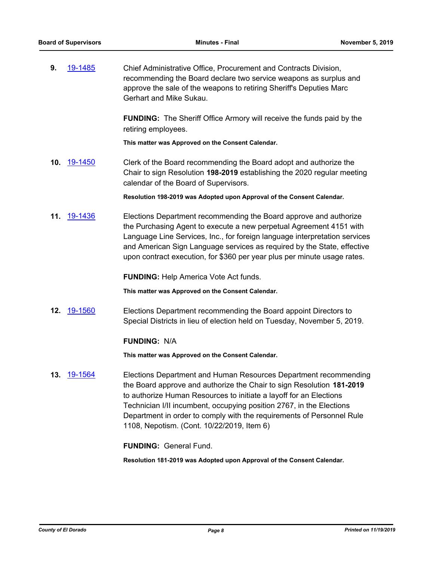**9.** [19-1485](http://eldorado.legistar.com/gateway.aspx?m=l&id=/matter.aspx?key=26806) Chief Administrative Office, Procurement and Contracts Division, recommending the Board declare two service weapons as surplus and approve the sale of the weapons to retiring Sheriff's Deputies Marc Gerhart and Mike Sukau.

> **FUNDING:** The Sheriff Office Armory will receive the funds paid by the retiring employees.

**This matter was Approved on the Consent Calendar.**

**10.** [19-1450](http://eldorado.legistar.com/gateway.aspx?m=l&id=/matter.aspx?key=26771) Clerk of the Board recommending the Board adopt and authorize the Chair to sign Resolution **198-2019** establishing the 2020 regular meeting calendar of the Board of Supervisors.

**Resolution 198-2019 was Adopted upon Approval of the Consent Calendar.**

**11.** [19-1436](http://eldorado.legistar.com/gateway.aspx?m=l&id=/matter.aspx?key=26757) Elections Department recommending the Board approve and authorize the Purchasing Agent to execute a new perpetual Agreement 4151 with Language Line Services, Inc., for foreign language interpretation services and American Sign Language services as required by the State, effective upon contract execution, for \$360 per year plus per minute usage rates.

**FUNDING:** Help America Vote Act funds.

**This matter was Approved on the Consent Calendar.**

**12.** [19-1560](http://eldorado.legistar.com/gateway.aspx?m=l&id=/matter.aspx?key=26884) Elections Department recommending the Board appoint Directors to Special Districts in lieu of election held on Tuesday, November 5, 2019.

#### **FUNDING:** N/A

**This matter was Approved on the Consent Calendar.**

**13.** [19-1564](http://eldorado.legistar.com/gateway.aspx?m=l&id=/matter.aspx?key=26888) Elections Department and Human Resources Department recommending the Board approve and authorize the Chair to sign Resolution **181-2019**  to authorize Human Resources to initiate a layoff for an Elections Technician I/II incumbent, occupying position 2767, in the Elections Department in order to comply with the requirements of Personnel Rule 1108, Nepotism. (Cont. 10/22/2019, Item 6)

**FUNDING:** General Fund.

**Resolution 181-2019 was Adopted upon Approval of the Consent Calendar.**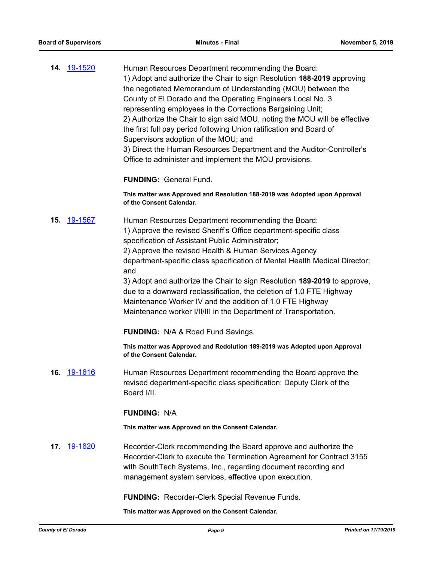|  | 14. 19-1520 | Human Resources Department recommending the Board:                                                     |
|--|-------------|--------------------------------------------------------------------------------------------------------|
|  |             | 1) Adopt and authorize the Chair to sign Resolution 188-2019 approving                                 |
|  |             | the negotiated Memorandum of Understanding (MOU) between the                                           |
|  |             | County of El Dorado and the Operating Engineers Local No. 3                                            |
|  |             | representing employees in the Corrections Bargaining Unit;                                             |
|  |             | 2) Authorize the Chair to sign said MOU, noting the MOU will be effective                              |
|  |             | the first full pay period following Union ratification and Board of                                    |
|  |             | Supervisors adoption of the MOU; and                                                                   |
|  |             | 3) Direct the Human Resources Department and the Auditor-Controller's                                  |
|  |             | Office to administer and implement the MOU provisions.                                                 |
|  |             | <b>FUNDING: General Fund.</b>                                                                          |
|  |             |                                                                                                        |
|  |             | This matter was Approved and Resolution 188-2019 was Adopted upon Approval<br>of the Consent Calendar. |

**15.** [19-1567](http://eldorado.legistar.com/gateway.aspx?m=l&id=/matter.aspx?key=26891) Human Resources Department recommending the Board: 1) Approve the revised Sheriff's Office department-specific class specification of Assistant Public Administrator;

> 2) Approve the revised Health & Human Services Agency department-specific class specification of Mental Health Medical Director; and

> 3) Adopt and authorize the Chair to sign Resolution **189-2019** to approve, due to a downward reclassification, the deletion of 1.0 FTE Highway Maintenance Worker IV and the addition of 1.0 FTE Highway Maintenance worker I/II/III in the Department of Transportation.

**FUNDING:** N/A & Road Fund Savings.

**This matter was Approved and Redolution 189-2019 was Adopted upon Approval of the Consent Calendar.**

**16.** [19-1616](http://eldorado.legistar.com/gateway.aspx?m=l&id=/matter.aspx?key=26940) Human Resources Department recommending the Board approve the revised department-specific class specification: Deputy Clerk of the Board I/II.

#### **FUNDING:** N/A

**This matter was Approved on the Consent Calendar.**

**17.** [19-1620](http://eldorado.legistar.com/gateway.aspx?m=l&id=/matter.aspx?key=26944) Recorder-Clerk recommending the Board approve and authorize the Recorder-Clerk to execute the Termination Agreement for Contract 3155 with SouthTech Systems, Inc., regarding document recording and management system services, effective upon execution.

**FUNDING:** Recorder-Clerk Special Revenue Funds.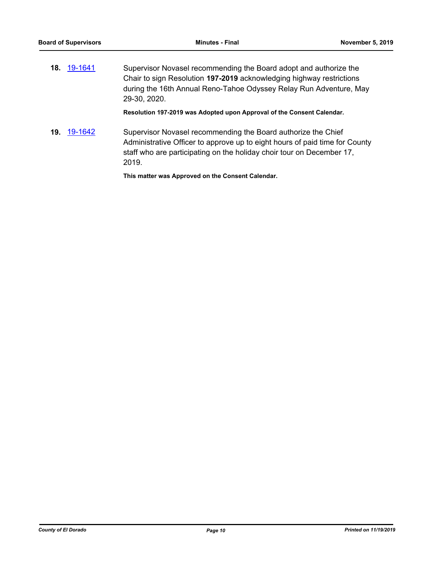**18.** [19-1641](http://eldorado.legistar.com/gateway.aspx?m=l&id=/matter.aspx?key=26965) Supervisor Novasel recommending the Board adopt and authorize the Chair to sign Resolution **197-2019** acknowledging highway restrictions during the 16th Annual Reno-Tahoe Odyssey Relay Run Adventure, May 29-30, 2020.

**Resolution 197-2019 was Adopted upon Approval of the Consent Calendar.**

**19.** [19-1642](http://eldorado.legistar.com/gateway.aspx?m=l&id=/matter.aspx?key=26966) Supervisor Novasel recommending the Board authorize the Chief Administrative Officer to approve up to eight hours of paid time for County staff who are participating on the holiday choir tour on December 17, 2019.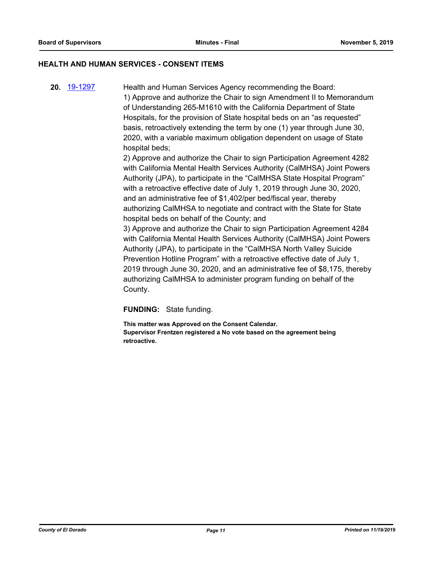#### **HEALTH AND HUMAN SERVICES - CONSENT ITEMS**

**20.** [19-1297](http://eldorado.legistar.com/gateway.aspx?m=l&id=/matter.aspx?key=26619) Health and Human Services Agency recommending the Board: 1) Approve and authorize the Chair to sign Amendment II to Memorandum of Understanding 265-M1610 with the California Department of State Hospitals, for the provision of State hospital beds on an "as requested" basis, retroactively extending the term by one (1) year through June 30, 2020, with a variable maximum obligation dependent on usage of State hospital beds; 2) Approve and authorize the Chair to sign Participation Agreement 4282

with California Mental Health Services Authority (CalMHSA) Joint Powers Authority (JPA), to participate in the "CalMHSA State Hospital Program" with a retroactive effective date of July 1, 2019 through June 30, 2020, and an administrative fee of \$1,402/per bed/fiscal year, thereby authorizing CalMHSA to negotiate and contract with the State for State hospital beds on behalf of the County; and

3) Approve and authorize the Chair to sign Participation Agreement 4284 with California Mental Health Services Authority (CalMHSA) Joint Powers Authority (JPA), to participate in the "CalMHSA North Valley Suicide Prevention Hotline Program" with a retroactive effective date of July 1, 2019 through June 30, 2020, and an administrative fee of \$8,175, thereby authorizing CalMHSA to administer program funding on behalf of the County.

**FUNDING:** State funding.

**This matter was Approved on the Consent Calendar. Supervisor Frentzen registered a No vote based on the agreement being retroactive.**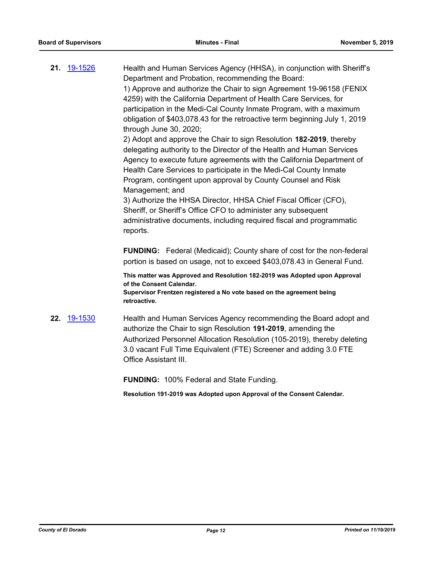**21.** [19-1526](http://eldorado.legistar.com/gateway.aspx?m=l&id=/matter.aspx?key=26848) Health and Human Services Agency (HHSA), in conjunction with Sheriff's Department and Probation, recommending the Board: 1) Approve and authorize the Chair to sign Agreement 19-96158 (FENIX 4259) with the California Department of Health Care Services, for participation in the Medi-Cal County Inmate Program, with a maximum obligation of \$403,078.43 for the retroactive term beginning July 1, 2019 through June 30, 2020; 2) Adopt and approve the Chair to sign Resolution **182-2019**, thereby delegating authority to the Director of the Health and Human Services Agency to execute future agreements with the California Department of Health Care Services to participate in the Medi-Cal County Inmate Program, contingent upon approval by County Counsel and Risk Management; and 3) Authorize the HHSA Director, HHSA Chief Fiscal Officer (CFO), Sheriff, or Sheriff's Office CFO to administer any subsequent administrative documents, including required fiscal and programmatic reports. **FUNDING:** Federal (Medicaid); County share of cost for the non-federal portion is based on usage, not to exceed \$403,078.43 in General Fund. **This matter was Approved and Resolution 182-2019 was Adopted upon Approval of the Consent Calendar. Supervisor Frentzen registered a No vote based on the agreement being retroactive. 22.** [19-1530](http://eldorado.legistar.com/gateway.aspx?m=l&id=/matter.aspx?key=26852) Health and Human Services Agency recommending the Board adopt and authorize the Chair to sign Resolution **191-2019**, amending the Authorized Personnel Allocation Resolution (105-2019), thereby deleting 3.0 vacant Full Time Equivalent (FTE) Screener and adding 3.0 FTE Office Assistant III. **FUNDING:** 100% Federal and State Funding. **Resolution 191-2019 was Adopted upon Approval of the Consent Calendar.**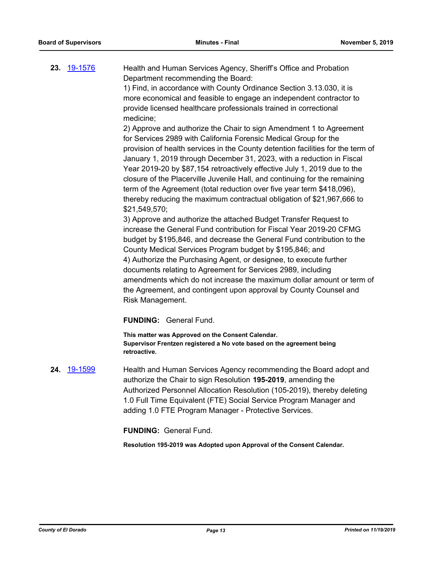**23.** [19-1576](http://eldorado.legistar.com/gateway.aspx?m=l&id=/matter.aspx?key=26900) Health and Human Services Agency, Sheriff's Office and Probation Department recommending the Board: 1) Find, in accordance with County Ordinance Section 3.13.030, it is

more economical and feasible to engage an independent contractor to provide licensed healthcare professionals trained in correctional medicine;

2) Approve and authorize the Chair to sign Amendment 1 to Agreement for Services 2989 with California Forensic Medical Group for the provision of health services in the County detention facilities for the term of January 1, 2019 through December 31, 2023, with a reduction in Fiscal Year 2019-20 by \$87,154 retroactively effective July 1, 2019 due to the closure of the Placerville Juvenile Hall, and continuing for the remaining term of the Agreement (total reduction over five year term \$418,096), thereby reducing the maximum contractual obligation of \$21,967,666 to \$21,549,570;

3) Approve and authorize the attached Budget Transfer Request to increase the General Fund contribution for Fiscal Year 2019-20 CFMG budget by \$195,846, and decrease the General Fund contribution to the County Medical Services Program budget by \$195,846; and 4) Authorize the Purchasing Agent, or designee, to execute further documents relating to Agreement for Services 2989, including amendments which do not increase the maximum dollar amount or term of the Agreement, and contingent upon approval by County Counsel and Risk Management.

#### **FUNDING:** General Fund.

**This matter was Approved on the Consent Calendar. Supervisor Frentzen registered a No vote based on the agreement being retroactive.**

**24.** [19-1599](http://eldorado.legistar.com/gateway.aspx?m=l&id=/matter.aspx?key=26923) Health and Human Services Agency recommending the Board adopt and authorize the Chair to sign Resolution **195-2019**, amending the Authorized Personnel Allocation Resolution (105-2019), thereby deleting 1.0 Full Time Equivalent (FTE) Social Service Program Manager and adding 1.0 FTE Program Manager - Protective Services.

#### **FUNDING:** General Fund.

**Resolution 195-2019 was Adopted upon Approval of the Consent Calendar.**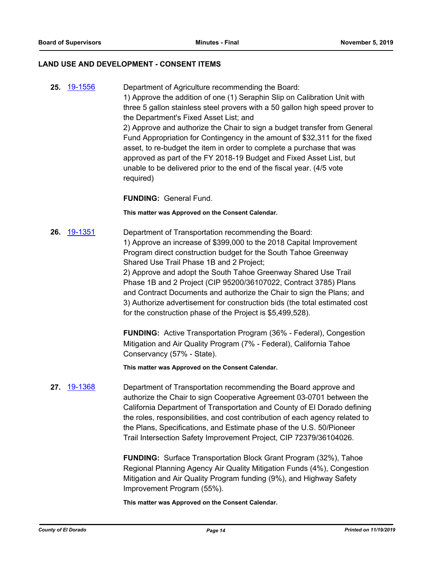#### **LAND USE AND DEVELOPMENT - CONSENT ITEMS**

**25.** [19-1556](http://eldorado.legistar.com/gateway.aspx?m=l&id=/matter.aspx?key=26880) Department of Agriculture recommending the Board: 1) Approve the addition of one (1) Seraphin Slip on Calibration Unit with three 5 gallon stainless steel provers with a 50 gallon high speed prover to the Department's Fixed Asset List; and 2) Approve and authorize the Chair to sign a budget transfer from General Fund Appropriation for Contingency in the amount of \$32,311 for the fixed asset, to re-budget the item in order to complete a purchase that was approved as part of the FY 2018-19 Budget and Fixed Asset List, but unable to be delivered prior to the end of the fiscal year. (4/5 vote required)

**FUNDING:** General Fund.

**This matter was Approved on the Consent Calendar.**

**26.** [19-1351](http://eldorado.legistar.com/gateway.aspx?m=l&id=/matter.aspx?key=26672) Department of Transportation recommending the Board: 1) Approve an increase of \$399,000 to the 2018 Capital Improvement Program direct construction budget for the South Tahoe Greenway Shared Use Trail Phase 1B and 2 Project; 2) Approve and adopt the South Tahoe Greenway Shared Use Trail Phase 1B and 2 Project (CIP 95200/36107022, Contract 3785) Plans and Contract Documents and authorize the Chair to sign the Plans; and 3) Authorize advertisement for construction bids (the total estimated cost

for the construction phase of the Project is \$5,499,528).

**FUNDING:** Active Transportation Program (36% - Federal), Congestion Mitigation and Air Quality Program (7% - Federal), California Tahoe Conservancy (57% - State).

**This matter was Approved on the Consent Calendar.**

**27.** [19-1368](http://eldorado.legistar.com/gateway.aspx?m=l&id=/matter.aspx?key=26689) Department of Transportation recommending the Board approve and authorize the Chair to sign Cooperative Agreement 03-0701 between the California Department of Transportation and County of El Dorado defining the roles, responsibilities, and cost contribution of each agency related to the Plans, Specifications, and Estimate phase of the U.S. 50/Pioneer Trail Intersection Safety Improvement Project, CIP 72379/36104026.

> **FUNDING:** Surface Transportation Block Grant Program (32%), Tahoe Regional Planning Agency Air Quality Mitigation Funds (4%), Congestion Mitigation and Air Quality Program funding (9%), and Highway Safety Improvement Program (55%).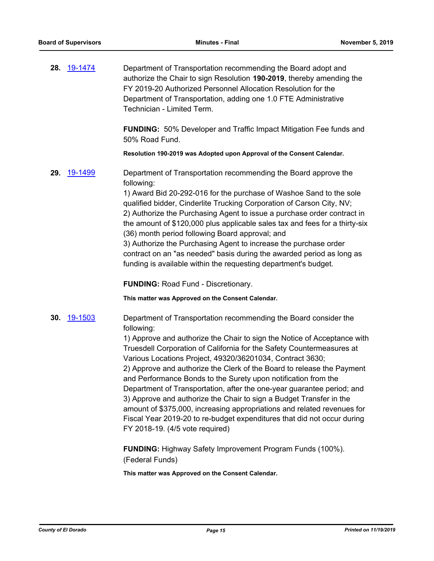**28.** [19-1474](http://eldorado.legistar.com/gateway.aspx?m=l&id=/matter.aspx?key=26795) Department of Transportation recommending the Board adopt and authorize the Chair to sign Resolution **190-2019**, thereby amending the FY 2019-20 Authorized Personnel Allocation Resolution for the Department of Transportation, adding one 1.0 FTE Administrative Technician - Limited Term.

> **FUNDING:** 50% Developer and Traffic Impact Mitigation Fee funds and 50% Road Fund.

**Resolution 190-2019 was Adopted upon Approval of the Consent Calendar.**

**29.** [19-1499](http://eldorado.legistar.com/gateway.aspx?m=l&id=/matter.aspx?key=26821) Department of Transportation recommending the Board approve the following:

> 1) Award Bid 20-292-016 for the purchase of Washoe Sand to the sole qualified bidder, Cinderlite Trucking Corporation of Carson City, NV; 2) Authorize the Purchasing Agent to issue a purchase order contract in the amount of \$120,000 plus applicable sales tax and fees for a thirty-six (36) month period following Board approval; and

3) Authorize the Purchasing Agent to increase the purchase order contract on an "as needed" basis during the awarded period as long as funding is available within the requesting department's budget.

**FUNDING:** Road Fund - Discretionary.

**This matter was Approved on the Consent Calendar.**

**30.** [19-1503](http://eldorado.legistar.com/gateway.aspx?m=l&id=/matter.aspx?key=26825) Department of Transportation recommending the Board consider the following:

> 1) Approve and authorize the Chair to sign the Notice of Acceptance with Truesdell Corporation of California for the Safety Countermeasures at Various Locations Project, 49320/36201034, Contract 3630; 2) Approve and authorize the Clerk of the Board to release the Payment and Performance Bonds to the Surety upon notification from the Department of Transportation, after the one-year guarantee period; and 3) Approve and authorize the Chair to sign a Budget Transfer in the amount of \$375,000, increasing appropriations and related revenues for Fiscal Year 2019-20 to re-budget expenditures that did not occur during FY 2018-19. (4/5 vote required)

**FUNDING:** Highway Safety Improvement Program Funds (100%). (Federal Funds)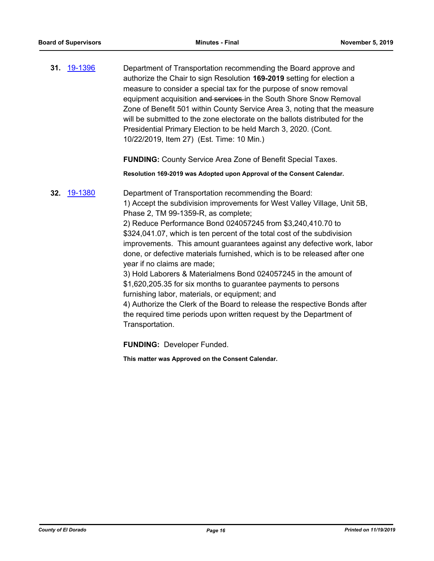**31.** [19-1396](http://eldorado.legistar.com/gateway.aspx?m=l&id=/matter.aspx?key=26717) Department of Transportation recommending the Board approve and authorize the Chair to sign Resolution **169-2019** setting for election a measure to consider a special tax for the purpose of snow removal equipment acquisition and services in the South Shore Snow Removal Zone of Benefit 501 within County Service Area 3, noting that the measure will be submitted to the zone electorate on the ballots distributed for the Presidential Primary Election to be held March 3, 2020. (Cont. 10/22/2019, Item 27) (Est. Time: 10 Min.)

**FUNDING:** County Service Area Zone of Benefit Special Taxes.

**Resolution 169-2019 was Adopted upon Approval of the Consent Calendar.**

**32.** [19-1380](http://eldorado.legistar.com/gateway.aspx?m=l&id=/matter.aspx?key=26701) Department of Transportation recommending the Board: 1) Accept the subdivision improvements for West Valley Village, Unit 5B, Phase 2, TM 99-1359-R, as complete; 2) Reduce Performance Bond 024057245 from \$3,240,410.70 to \$324,041.07, which is ten percent of the total cost of the subdivision improvements. This amount guarantees against any defective work, labor done, or defective materials furnished, which is to be released after one year if no claims are made; 3) Hold Laborers & Materialmens Bond 024057245 in the amount of \$1,620,205.35 for six months to guarantee payments to persons furnishing labor, materials, or equipment; and 4) Authorize the Clerk of the Board to release the respective Bonds after the required time periods upon written request by the Department of Transportation. **FUNDING:** Developer Funded.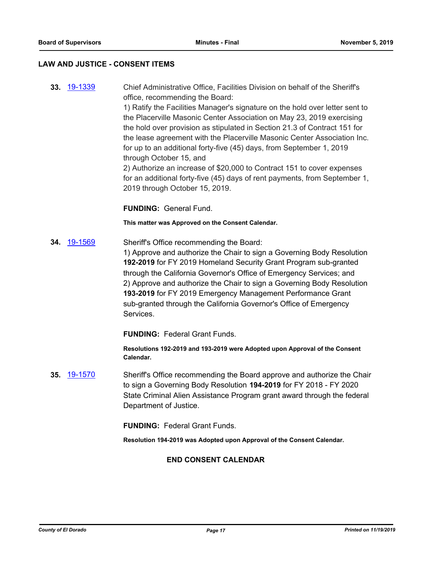#### **LAW AND JUSTICE - CONSENT ITEMS**

**33.** [19-1339](http://eldorado.legistar.com/gateway.aspx?m=l&id=/matter.aspx?key=26660) Chief Administrative Office, Facilities Division on behalf of the Sheriff's office, recommending the Board: 1) Ratify the Facilities Manager's signature on the hold over letter sent to the Placerville Masonic Center Association on May 23, 2019 exercising the hold over provision as stipulated in Section 21.3 of Contract 151 for the lease agreement with the Placerville Masonic Center Association Inc. for up to an additional forty-five (45) days, from September 1, 2019 through October 15, and 2) Authorize an increase of \$20,000 to Contract 151 to cover expenses for an additional forty-five (45) days of rent payments, from September 1, 2019 through October 15, 2019.

**FUNDING:** General Fund.

**This matter was Approved on the Consent Calendar.**

**34.** [19-1569](http://eldorado.legistar.com/gateway.aspx?m=l&id=/matter.aspx?key=26893) Sheriff's Office recommending the Board: 1) Approve and authorize the Chair to sign a Governing Body Resolution **192-2019** for FY 2019 Homeland Security Grant Program sub-granted through the California Governor's Office of Emergency Services; and 2) Approve and authorize the Chair to sign a Governing Body Resolution **193-2019** for FY 2019 Emergency Management Performance Grant sub-granted through the California Governor's Office of Emergency Services.

**FUNDING:** Federal Grant Funds.

**Resolutions 192-2019 and 193-2019 were Adopted upon Approval of the Consent Calendar.**

**35.** [19-1570](http://eldorado.legistar.com/gateway.aspx?m=l&id=/matter.aspx?key=26894) Sheriff's Office recommending the Board approve and authorize the Chair to sign a Governing Body Resolution **194-2019** for FY 2018 - FY 2020 State Criminal Alien Assistance Program grant award through the federal Department of Justice.

**FUNDING:** Federal Grant Funds.

**Resolution 194-2019 was Adopted upon Approval of the Consent Calendar.**

## **END CONSENT CALENDAR**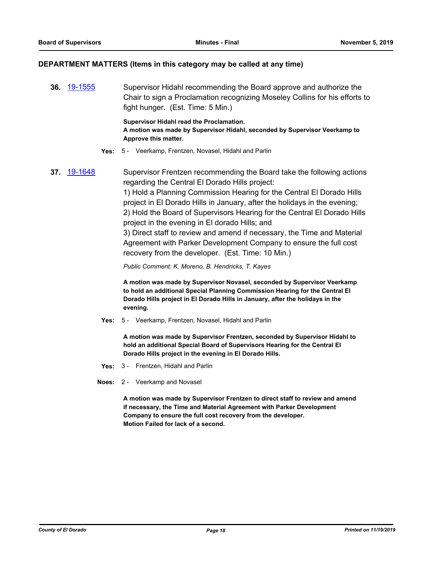#### **DEPARTMENT MATTERS (Items in this category may be called at any time)**

**36.** [19-1555](http://eldorado.legistar.com/gateway.aspx?m=l&id=/matter.aspx?key=26879) Supervisor Hidahl recommending the Board approve and authorize the Chair to sign a Proclamation recognizing Moseley Collins for his efforts to fight hunger. (Est. Time: 5 Min.)

> **Supervisor Hidahl read the Proclamation. A motion was made by Supervisor Hidahl, seconded by Supervisor Veerkamp to Approve this matter.**

- **Yes:** 5 Veerkamp, Frentzen, Novasel, Hidahl and Parlin
- **37.** [19-1648](http://eldorado.legistar.com/gateway.aspx?m=l&id=/matter.aspx?key=26972) Supervisor Frentzen recommending the Board take the following actions regarding the Central El Dorado Hills project:

1) Hold a Planning Commission Hearing for the Central El Dorado Hills project in El Dorado Hills in January, after the holidays in the evening; 2) Hold the Board of Supervisors Hearing for the Central El Dorado Hills project in the evening in El dorado Hills; and

3) Direct staff to review and amend if necessary, the Time and Material Agreement with Parker Development Company to ensure the full cost recovery from the developer. (Est. Time: 10 Min.)

*Public Comment: K. Moreno, B. Hendricks, T. Kayes*

**A motion was made by Supervisor Novasel, seconded by Supervisor Veerkamp to hold an additional Special Planning Commission Hearing for the Central El Dorado Hills project in El Dorado Hills in January, after the holidays in the evening.**

**Yes:** 5 - Veerkamp, Frentzen, Novasel, Hidahl and Parlin

**A motion was made by Supervisor Frentzen, seconded by Supervisor Hidahl to hold an additional Special Board of Supervisors Hearing for the Central El Dorado Hills project in the evening in El Dorado Hills.**

- **Yes:** 3 Frentzen, Hidahl and Parlin
- **Noes:** 2 Veerkamp and Novasel

**A motion was made by Supervisor Frentzen to direct staff to review and amend if necessary, the Time and Material Agreement with Parker Development Company to ensure the full cost recovery from the developer. Motion Failed for lack of a second.**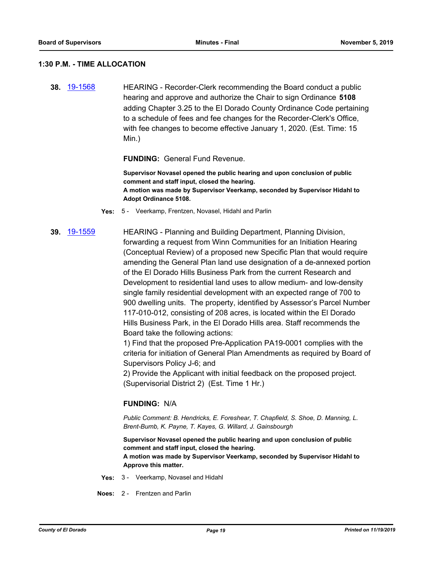#### **1:30 P.M. - TIME ALLOCATION**

**38.** [19-1568](http://eldorado.legistar.com/gateway.aspx?m=l&id=/matter.aspx?key=26892) HEARING - Recorder-Clerk recommending the Board conduct a public hearing and approve and authorize the Chair to sign Ordinance **5108** adding Chapter 3.25 to the El Dorado County Ordinance Code pertaining to a schedule of fees and fee changes for the Recorder-Clerk's Office, with fee changes to become effective January 1, 2020. (Est. Time: 15 Min.)

#### **FUNDING:** General Fund Revenue.

**Supervisor Novasel opened the public hearing and upon conclusion of public comment and staff input, closed the hearing. A motion was made by Supervisor Veerkamp, seconded by Supervisor Hidahl to Adopt Ordinance 5108.**

- **Yes:** 5 Veerkamp, Frentzen, Novasel, Hidahl and Parlin
- **39.** [19-1559](http://eldorado.legistar.com/gateway.aspx?m=l&id=/matter.aspx?key=26883) HEARING Planning and Building Department, Planning Division, forwarding a request from Winn Communities for an Initiation Hearing (Conceptual Review) of a proposed new Specific Plan that would require amending the General Plan land use designation of a de-annexed portion of the El Dorado Hills Business Park from the current Research and Development to residential land uses to allow medium- and low-density single family residential development with an expected range of 700 to 900 dwelling units. The property, identified by Assessor's Parcel Number 117-010-012, consisting of 208 acres, is located within the El Dorado Hills Business Park, in the El Dorado Hills area. Staff recommends the Board take the following actions:

1) Find that the proposed Pre-Application PA19-0001 complies with the criteria for initiation of General Plan Amendments as required by Board of Supervisors Policy J-6; and

2) Provide the Applicant with initial feedback on the proposed project. (Supervisorial District 2) (Est. Time 1 Hr.)

#### **FUNDING:** N/A

*Public Comment: B. Hendricks, E. Foreshear, T. Chapfield, S. Shoe, D. Manning, L. Brent-Bumb, K. Payne, T. Kayes, G. Willard, J. Gainsbourgh*

**Supervisor Novasel opened the public hearing and upon conclusion of public comment and staff input, closed the hearing. A motion was made by Supervisor Veerkamp, seconded by Supervisor Hidahl to Approve this matter.**

- **Yes:** 3 Veerkamp, Novasel and Hidahl
- **Noes:** 2 Frentzen and Parlin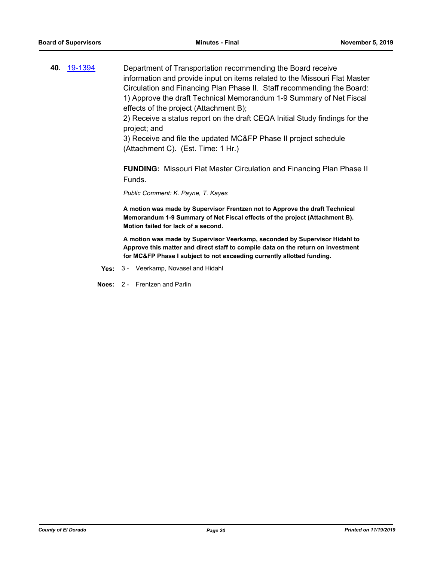**40.** [19-1394](http://eldorado.legistar.com/gateway.aspx?m=l&id=/matter.aspx?key=26715) Department of Transportation recommending the Board receive information and provide input on items related to the Missouri Flat Master Circulation and Financing Plan Phase II. Staff recommending the Board: 1) Approve the draft Technical Memorandum 1-9 Summary of Net Fiscal effects of the project (Attachment B);

> 2) Receive a status report on the draft CEQA Initial Study findings for the project; and

3) Receive and file the updated MC&FP Phase II project schedule (Attachment C). (Est. Time: 1 Hr.)

**FUNDING:** Missouri Flat Master Circulation and Financing Plan Phase II Funds.

*Public Comment: K. Payne, T. Kayes*

**A motion was made by Supervisor Frentzen not to Approve the draft Technical Memorandum 1-9 Summary of Net Fiscal effects of the project (Attachment B). Motion failed for lack of a second.**

**A motion was made by Supervisor Veerkamp, seconded by Supervisor Hidahl to Approve this matter and direct staff to compile data on the return on investment for MC&FP Phase I subject to not exceeding currently allotted funding.**

**Yes:** 3 - Veerkamp, Novasel and Hidahl

**Noes:** 2 - Frentzen and Parlin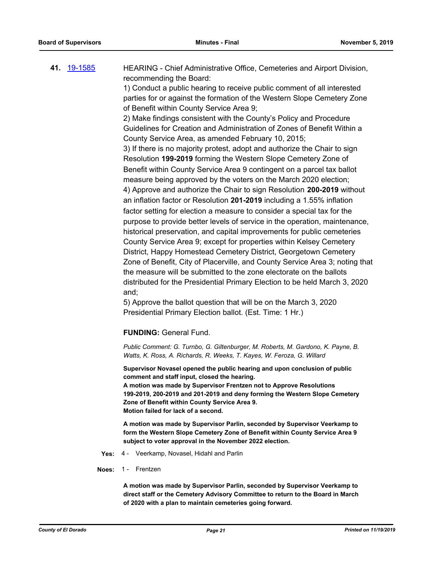**41.** [19-1585](http://eldorado.legistar.com/gateway.aspx?m=l&id=/matter.aspx?key=26909) HEARING - Chief Administrative Office, Cemeteries and Airport Division, recommending the Board: 1) Conduct a public hearing to receive public comment of all interested

parties for or against the formation of the Western Slope Cemetery Zone of Benefit within County Service Area 9;

2) Make findings consistent with the County's Policy and Procedure Guidelines for Creation and Administration of Zones of Benefit Within a County Service Area, as amended February 10, 2015; 3) If there is no majority protest, adopt and authorize the Chair to sign Resolution **199-2019** forming the Western Slope Cemetery Zone of Benefit within County Service Area 9 contingent on a parcel tax ballot measure being approved by the voters on the March 2020 election; 4) Approve and authorize the Chair to sign Resolution **200-2019** without an inflation factor or Resolution **201-2019** including a 1.55% inflation factor setting for election a measure to consider a special tax for the purpose to provide better levels of service in the operation, maintenance, historical preservation, and capital improvements for public cemeteries County Service Area 9; except for properties within Kelsey Cemetery District, Happy Homestead Cemetery District, Georgetown Cemetery Zone of Benefit, City of Placerville, and County Service Area 3; noting that the measure will be submitted to the zone electorate on the ballots distributed for the Presidential Primary Election to be held March 3, 2020 and;

5) Approve the ballot question that will be on the March 3, 2020 Presidential Primary Election ballot. (Est. Time: 1 Hr.)

**FUNDING:** General Fund.

*Public Comment: G. Turnbo, G. Giltenburger, M. Roberts, M. Gardono, K. Payne, B. Watts, K. Ross, A. Richards, R. Weeks, T. Kayes, W. Feroza, G. Willard*

**Supervisor Novasel opened the public hearing and upon conclusion of public comment and staff input, closed the hearing.**

**A motion was made by Supervisor Frentzen not to Approve Resolutions 199-2019, 200-2019 and 201-2019 and deny forming the Western Slope Cemetery Zone of Benefit within County Service Area 9. Motion failed for lack of a second.**

**A motion was made by Supervisor Parlin, seconded by Supervisor Veerkamp to form the Western Slope Cemetery Zone of Benefit within County Service Area 9 subject to voter approval in the November 2022 election.**

- **Yes:** 4 Veerkamp, Novasel, Hidahl and Parlin
- **Noes:** 1 Frentzen

**A motion was made by Supervisor Parlin, seconded by Supervisor Veerkamp to direct staff or the Cemetery Advisory Committee to return to the Board in March of 2020 with a plan to maintain cemeteries going forward.**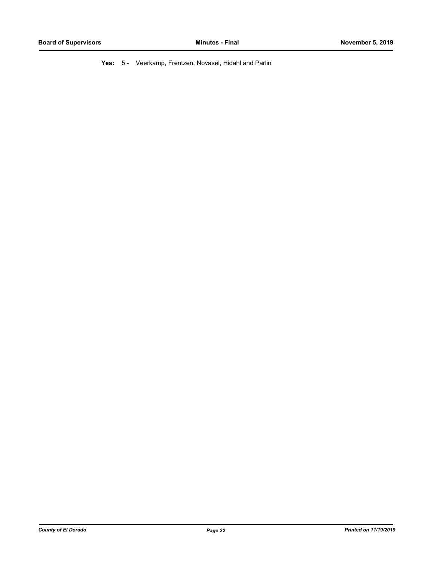**Yes:** 5 - Veerkamp, Frentzen, Novasel, Hidahl and Parlin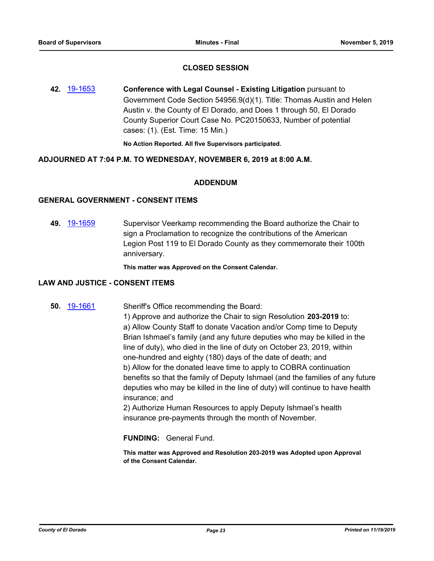## **CLOSED SESSION**

**42.** [19-1653](http://eldorado.legistar.com/gateway.aspx?m=l&id=/matter.aspx?key=26977) **Conference with Legal Counsel - Existing Litigation** pursuant to Government Code Section 54956.9(d)(1). Title: Thomas Austin and Helen Austin v. the County of El Dorado, and Does 1 through 50, El Dorado County Superior Court Case No. PC20150633, Number of potential cases: (1). (Est. Time: 15 Min.)

**No Action Reported. All five Supervisors participated.**

## **ADJOURNED AT 7:04 P.M. TO WEDNESDAY, NOVEMBER 6, 2019 at 8:00 A.M.**

#### **ADDENDUM**

#### **GENERAL GOVERNMENT - CONSENT ITEMS**

**49.** [19-1659](http://eldorado.legistar.com/gateway.aspx?m=l&id=/matter.aspx?key=26983) Supervisor Veerkamp recommending the Board authorize the Chair to sign a Proclamation to recognize the contributions of the American Legion Post 119 to El Dorado County as they commemorate their 100th anniversary.

**This matter was Approved on the Consent Calendar.**

#### **LAW AND JUSTICE - CONSENT ITEMS**

## **50.** [19-1661](http://eldorado.legistar.com/gateway.aspx?m=l&id=/matter.aspx?key=26985) Sheriff's Office recommending the Board:

1) Approve and authorize the Chair to sign Resolution **203-2019** to: a) Allow County Staff to donate Vacation and/or Comp time to Deputy Brian Ishmael's family (and any future deputies who may be killed in the line of duty), who died in the line of duty on October 23, 2019, within one-hundred and eighty (180) days of the date of death; and b) Allow for the donated leave time to apply to COBRA continuation benefits so that the family of Deputy Ishmael (and the families of any future deputies who may be killed in the line of duty) will continue to have health insurance; and

2) Authorize Human Resources to apply Deputy Ishmael's health insurance pre-payments through the month of November.

### **FUNDING:** General Fund.

**This matter was Approved and Resolution 203-2019 was Adopted upon Approval of the Consent Calendar.**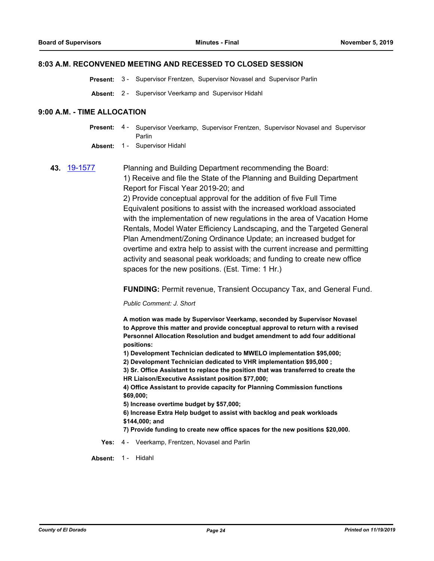#### **8:03 A.M. RECONVENED MEETING AND RECESSED TO CLOSED SESSION**

**Present:** 3 - Supervisor Frentzen, Supervisor Novasel and Supervisor Parlin

**Absent:** 2 - Supervisor Veerkamp and Supervisor Hidahl

#### **9:00 A.M. - TIME ALLOCATION**

Present: 4 - Supervisor Veerkamp, Supervisor Frentzen, Supervisor Novasel and Supervisor Parlin

**Absent:** 1 - Supervisor Hidahl

**43.** [19-1577](http://eldorado.legistar.com/gateway.aspx?m=l&id=/matter.aspx?key=26901) Planning and Building Department recommending the Board: 1) Receive and file the State of the Planning and Building Department Report for Fiscal Year 2019-20; and 2) Provide conceptual approval for the addition of five Full Time Equivalent positions to assist with the increased workload associated with the implementation of new regulations in the area of Vacation Home Rentals, Model Water Efficiency Landscaping, and the Targeted General Plan Amendment/Zoning Ordinance Update; an increased budget for overtime and extra help to assist with the current increase and permitting activity and seasonal peak workloads; and funding to create new office spaces for the new positions. (Est. Time: 1 Hr.)

**FUNDING:** Permit revenue, Transient Occupancy Tax, and General Fund.

*Public Comment: J. Short*

**A motion was made by Supervisor Veerkamp, seconded by Supervisor Novasel to Approve this matter and provide conceptual approval to return with a revised Personnel Allocation Resolution and budget amendment to add four additional positions:** 

**1) Development Technician dedicated to MWELO implementation \$95,000;**

**2) Development Technician dedicated to VHR implementation \$95,000 ;**

**3) Sr. Office Assistant to replace the position that was transferred to create the HR Liaison/Executive Assistant position \$77,000;**

**4) Office Assistant to provide capacity for Planning Commission functions \$69,000;**

**5) Increase overtime budget by \$57,000;**

**6) Increase Extra Help budget to assist with backlog and peak workloads \$144,000; and**

**7) Provide funding to create new office spaces for the new positions \$20,000.**

**Yes:** 4 - Veerkamp, Frentzen, Novasel and Parlin

**Absent:** 1 - Hidahl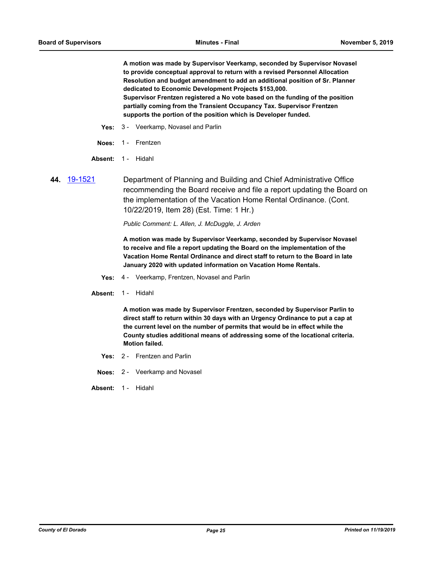**A motion was made by Supervisor Veerkamp, seconded by Supervisor Novasel to provide conceptual approval to return with a revised Personnel Allocation Resolution and budget amendment to add an additional position of Sr. Planner dedicated to Economic Development Projects \$153,000. Supervisor Frentzen registered a No vote based on the funding of the position partially coming from the Transient Occupancy Tax. Supervisor Frentzen supports the portion of the position which is Developer funded.**

- **Yes:** 3 Veerkamp, Novasel and Parlin
- **Noes:** 1 Frentzen
- **Absent:** 1 Hidahl
- **44.** [19-1521](http://eldorado.legistar.com/gateway.aspx?m=l&id=/matter.aspx?key=26843) Department of Planning and Building and Chief Administrative Office recommending the Board receive and file a report updating the Board on the implementation of the Vacation Home Rental Ordinance. (Cont. 10/22/2019, Item 28) (Est. Time: 1 Hr.)

*Public Comment: L. Allen, J. McDuggle, J. Arden*

**A motion was made by Supervisor Veerkamp, seconded by Supervisor Novasel to receive and file a report updating the Board on the implementation of the Vacation Home Rental Ordinance and direct staff to return to the Board in late January 2020 with updated information on Vacation Home Rentals.**

- **Yes:** 4 Veerkamp, Frentzen, Novasel and Parlin
- **Absent:** 1 Hidahl

**A motion was made by Supervisor Frentzen, seconded by Supervisor Parlin to direct staff to return within 30 days with an Urgency Ordinance to put a cap at the current level on the number of permits that would be in effect while the County studies additional means of addressing some of the locational criteria. Motion failed.**

- **Yes:** 2 Frentzen and Parlin
- **Noes:** 2 Veerkamp and Novasel
- Absent: 1 Hidahl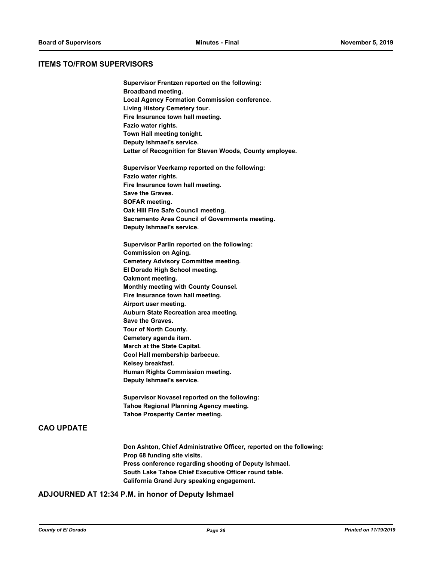#### **ITEMS TO/FROM SUPERVISORS**

**Supervisor Frentzen reported on the following: Broadband meeting. Local Agency Formation Commission conference. Living History Cemetery tour. Fire Insurance town hall meeting. Fazio water rights. Town Hall meeting tonight. Deputy Ishmael's service. Letter of Recognition for Steven Woods, County employee. Supervisor Veerkamp reported on the following: Fazio water rights. Fire Insurance town hall meeting. Save the Graves. SOFAR meeting.**

**Oak Hill Fire Safe Council meeting. Sacramento Area Council of Governments meeting. Deputy Ishmael's service.**

**Supervisor Parlin reported on the following: Commission on Aging. Cemetery Advisory Committee meeting. El Dorado High School meeting. Oakmont meeting. Monthly meeting with County Counsel. Fire Insurance town hall meeting. Airport user meeting. Auburn State Recreation area meeting. Save the Graves. Tour of North County. Cemetery agenda item. March at the State Capital. Cool Hall membership barbecue. Kelsey breakfast. Human Rights Commission meeting. Deputy Ishmael's service.**

**Supervisor Novasel reported on the following: Tahoe Regional Planning Agency meeting. Tahoe Prosperity Center meeting.**

## **CAO UPDATE**

**Don Ashton, Chief Administrative Officer, reported on the following: Prop 68 funding site visits. Press conference regarding shooting of Deputy Ishmael. South Lake Tahoe Chief Executive Officer round table. California Grand Jury speaking engagement.**

## **ADJOURNED AT 12:34 P.M. in honor of Deputy Ishmael**